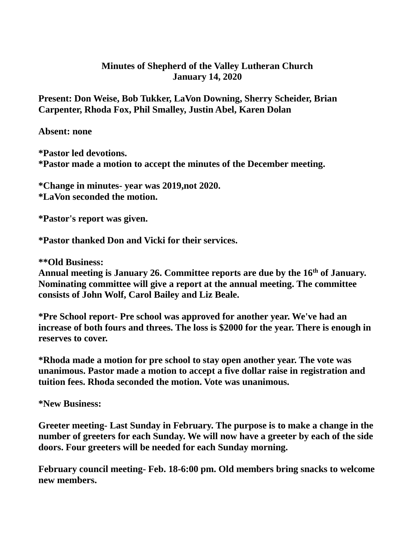## **Minutes of Shepherd of the Valley Lutheran Church January 14, 2020**

**Present: Don Weise, Bob Tukker, LaVon Downing, Sherry Scheider, Brian Carpenter, Rhoda Fox, Phil Smalley, Justin Abel, Karen Dolan**

**Absent: none**

**\*Pastor led devotions. \*Pastor made a motion to accept the minutes of the December meeting.**

**\*Change in minutes- year was 2019,not 2020. \*LaVon seconded the motion.**

**\*Pastor's report was given.**

**\*Pastor thanked Don and Vicki for their services.**

**\*\*Old Business:**

**Annual meeting is January 26. Committee reports are due by the 16th of January. Nominating committee will give a report at the annual meeting. The committee consists of John Wolf, Carol Bailey and Liz Beale.**

**\*Pre School report- Pre school was approved for another year. We've had an increase of both fours and threes. The loss is \$2000 for the year. There is enough in reserves to cover.**

**\*Rhoda made a motion for pre school to stay open another year. The vote was unanimous. Pastor made a motion to accept a five dollar raise in registration and tuition fees. Rhoda seconded the motion. Vote was unanimous.**

**\*New Business:**

**Greeter meeting- Last Sunday in February. The purpose is to make a change in the number of greeters for each Sunday. We will now have a greeter by each of the side doors. Four greeters will be needed for each Sunday morning.**

**February council meeting- Feb. 18-6:00 pm. Old members bring snacks to welcome new members.**